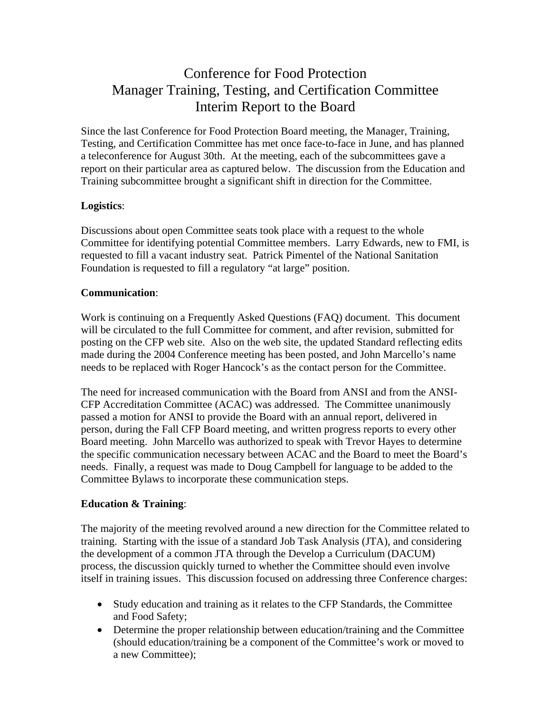# Conference for Food Protection Manager Training, Testing, and Certification Committee Interim Report to the Board

Since the last Conference for Food Protection Board meeting, the Manager, Training, Testing, and Certification Committee has met once face-to-face in June, and has planned a teleconference for August 30th. At the meeting, each of the subcommittees gave a report on their particular area as captured below. The discussion from the Education and Training subcommittee brought a significant shift in direction for the Committee.

## **Logistics**:

Discussions about open Committee seats took place with a request to the whole Committee for identifying potential Committee members. Larry Edwards, new to FMI, is requested to fill a vacant industry seat. Patrick Pimentel of the National Sanitation Foundation is requested to fill a regulatory "at large" position.

## **Communication**:

Work is continuing on a Frequently Asked Questions (FAQ) document. This document will be circulated to the full Committee for comment, and after revision, submitted for posting on the CFP web site. Also on the web site, the updated Standard reflecting edits made during the 2004 Conference meeting has been posted, and John Marcello's name needs to be replaced with Roger Hancock's as the contact person for the Committee.

The need for increased communication with the Board from ANSI and from the ANSI-CFP Accreditation Committee (ACAC) was addressed. The Committee unanimously passed a motion for ANSI to provide the Board with an annual report, delivered in person, during the Fall CFP Board meeting, and written progress reports to every other Board meeting. John Marcello was authorized to speak with Trevor Hayes to determine the specific communication necessary between ACAC and the Board to meet the Board's needs. Finally, a request was made to Doug Campbell for language to be added to the Committee Bylaws to incorporate these communication steps.

# **Education & Training**:

The majority of the meeting revolved around a new direction for the Committee related to training. Starting with the issue of a standard Job Task Analysis (JTA), and considering the development of a common JTA through the Develop a Curriculum (DACUM) process, the discussion quickly turned to whether the Committee should even involve itself in training issues. This discussion focused on addressing three Conference charges:

- Study education and training as it relates to the CFP Standards, the Committee and Food Safety;
- Determine the proper relationship between education/training and the Committee (should education/training be a component of the Committee's work or moved to a new Committee);